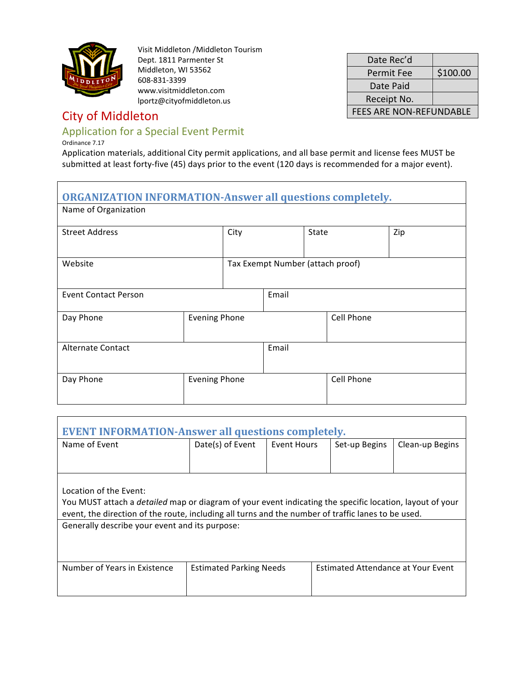

Visit Middleton /Middleton Tourism Dept. 1811 Parmenter St Middleton, WI 53562 608-831-3399 www.visitmiddleton.com lportz@cityofmiddleton.us

## **City of Middleton**

### Application for a Special Event Permit

Ordinance 7.17

Application materials, additional City permit applications, and all base permit and license fees MUST be submitted at least forty-five (45) days prior to the event (120 days is recommended for a major event).

Date Rec'd

Date Paid Receipt No.

Permit Fee  $\frac{1}{2}$  \$100.00

FEES ARE NON-REFUNDABLE

# **ORGANIZATION INFORMATION-Answer all questions completely.** Name of Organization Street Address and City City State Street Address and City State Street Address and Zip Website **Tax Exempt Number** (attach proof) Event Contact Person **Event** Email Day Phone **Evening Phone Cell Phone** Alternate Contact **Email** Day Phone **Evening Phone Exercise** Evening Phone

| <b>EVENT INFORMATION-Answer all questions completely.</b>                                                       |                                |             |                                    |                 |  |  |  |  |
|-----------------------------------------------------------------------------------------------------------------|--------------------------------|-------------|------------------------------------|-----------------|--|--|--|--|
| Name of Event                                                                                                   | Date(s) of Event               | Event Hours | Set-up Begins                      | Clean-up Begins |  |  |  |  |
|                                                                                                                 |                                |             |                                    |                 |  |  |  |  |
|                                                                                                                 |                                |             |                                    |                 |  |  |  |  |
| Location of the Event:                                                                                          |                                |             |                                    |                 |  |  |  |  |
| You MUST attach a <i>detailed</i> map or diagram of your event indicating the specific location, layout of your |                                |             |                                    |                 |  |  |  |  |
| event, the direction of the route, including all turns and the number of traffic lanes to be used.              |                                |             |                                    |                 |  |  |  |  |
| Generally describe your event and its purpose:                                                                  |                                |             |                                    |                 |  |  |  |  |
|                                                                                                                 |                                |             |                                    |                 |  |  |  |  |
|                                                                                                                 |                                |             |                                    |                 |  |  |  |  |
| Number of Years in Existence                                                                                    | <b>Estimated Parking Needs</b> |             | Estimated Attendance at Your Event |                 |  |  |  |  |
|                                                                                                                 |                                |             |                                    |                 |  |  |  |  |
|                                                                                                                 |                                |             |                                    |                 |  |  |  |  |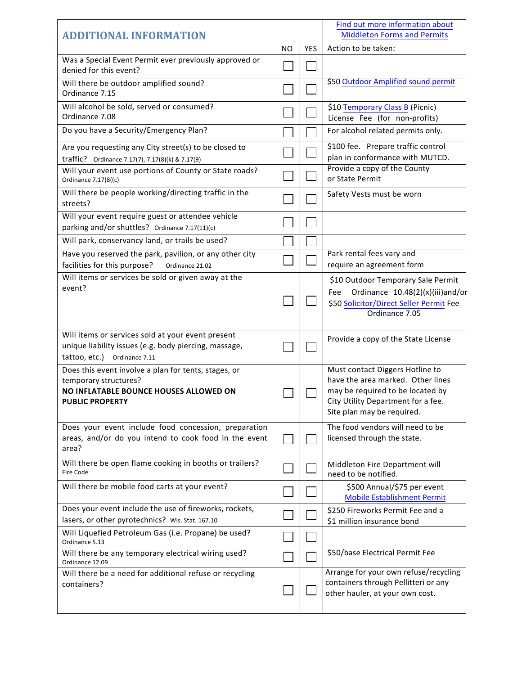| <b>ADDITIONAL INFORMATION</b>                                                                                                                     |           |            | Find out more information about<br><b>Middleton Forms and Permits</b>                                                                                                       |
|---------------------------------------------------------------------------------------------------------------------------------------------------|-----------|------------|-----------------------------------------------------------------------------------------------------------------------------------------------------------------------------|
|                                                                                                                                                   | <b>NO</b> | <b>YES</b> | Action to be taken:                                                                                                                                                         |
| Was a Special Event Permit ever previously approved or<br>denied for this event?                                                                  |           |            |                                                                                                                                                                             |
| Will there be outdoor amplified sound?<br>Ordinance 7.15                                                                                          |           |            | \$50 Outdoor Amplified sound permit                                                                                                                                         |
| Will alcohol be sold, served or consumed?<br>Ordinance 7.08                                                                                       |           |            | \$10 Temporary Class B (Picnic)<br>License Fee (for non-profits)                                                                                                            |
| Do you have a Security/Emergency Plan?                                                                                                            |           |            | For alcohol related permits only.                                                                                                                                           |
| Are you requesting any City street(s) to be closed to<br>traffic? Ordinance 7.17(7), 7.17(8)(k) & 7.17(9)                                         |           |            | \$100 fee. Prepare traffic control<br>plan in conformance with MUTCD.                                                                                                       |
| Will your event use portions of County or State roads?<br>Ordinance 7.17(8((c)                                                                    |           |            | Provide a copy of the County<br>or State Permit                                                                                                                             |
| Will there be people working/directing traffic in the<br>streets?                                                                                 |           |            | Safety Vests must be worn                                                                                                                                                   |
| Will your event require guest or attendee vehicle<br>parking and/or shuttles? Ordinance 7.17(11)(c)                                               |           |            |                                                                                                                                                                             |
| Will park, conservancy land, or trails be used?                                                                                                   |           |            |                                                                                                                                                                             |
| Have you reserved the park, pavilion, or any other city<br>facilities for this purpose?<br>Ordinance 21.02                                        |           |            | Park rental fees vary and<br>require an agreement form                                                                                                                      |
| Will items or services be sold or given away at the<br>event?                                                                                     |           |            | \$10 Outdoor Temporary Sale Permit<br>Ordinance 10.48(2)(x)(iii)and/or<br>Fee<br>\$50 Solicitor/Direct Seller Permit Fee<br>Ordinance 7.05                                  |
| Will items or services sold at your event present<br>unique liability issues (e.g. body piercing, massage,<br>tattoo, etc.)<br>Ordinance 7.11     |           |            | Provide a copy of the State License                                                                                                                                         |
| Does this event involve a plan for tents, stages, or<br>temporary structures?<br>NO INFLATABLE BOUNCE HOUSES ALLOWED ON<br><b>PUBLIC PROPERTY</b> |           |            | Must contact Diggers Hotline to<br>have the area marked. Other lines<br>may be required to be located by<br>City Utility Department for a fee<br>Site plan may be required. |
| Does your event include food concession, preparation<br>areas, and/or do you intend to cook food in the event<br>area?                            |           |            | The food vendors will need to be<br>licensed through the state.                                                                                                             |
| Will there be open flame cooking in booths or trailers?<br>Fire Code                                                                              |           |            | Middleton Fire Department will<br>need to be notified.                                                                                                                      |
| Will there be mobile food carts at your event?                                                                                                    |           |            | \$500 Annual/\$75 per event<br><b>Mobile Establishment Permit</b>                                                                                                           |
| Does your event include the use of fireworks, rockets,<br>lasers, or other pyrotechnics? Wis. Stat. 167.10                                        |           |            | \$250 Fireworks Permit Fee and a<br>\$1 million insurance bond                                                                                                              |
| Will Liquefied Petroleum Gas (i.e. Propane) be used?<br>Ordinance 5.13                                                                            |           |            |                                                                                                                                                                             |
| Will there be any temporary electrical wiring used?<br>Ordinance 12.09                                                                            |           |            | \$50/base Electrical Permit Fee                                                                                                                                             |
| Will there be a need for additional refuse or recycling<br>containers?                                                                            |           |            | Arrange for your own refuse/recycling<br>containers through Pellitteri or any<br>other hauler, at your own cost.                                                            |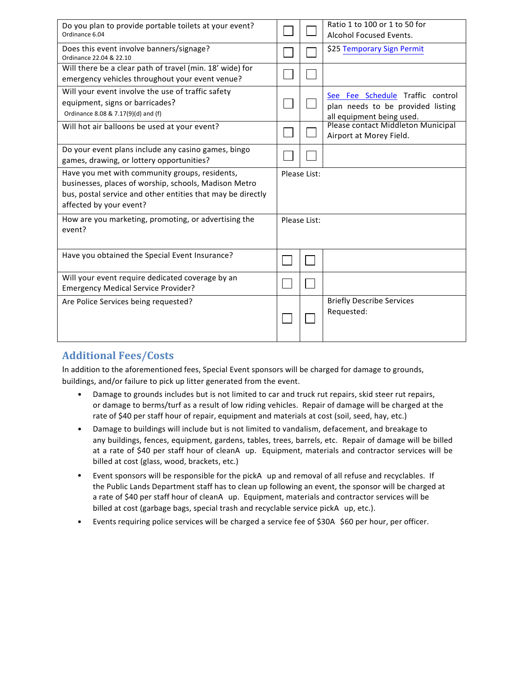| Do you plan to provide portable toilets at your event?<br>Ordinance 6.04                                                                                                                          |              |              | Ratio 1 to 100 or 1 to 50 for<br>Alcohol Focused Events.                                           |
|---------------------------------------------------------------------------------------------------------------------------------------------------------------------------------------------------|--------------|--------------|----------------------------------------------------------------------------------------------------|
| Does this event involve banners/signage?<br>Ordinance 22.04 & 22.10                                                                                                                               |              |              | \$25 Temporary Sign Permit                                                                         |
| Will there be a clear path of travel (min. 18' wide) for<br>emergency vehicles throughout your event venue?                                                                                       |              |              |                                                                                                    |
| Will your event involve the use of traffic safety<br>equipment, signs or barricades?<br>Ordinance 8.08 & 7.17(9)(d) and (f)                                                                       |              |              | See Fee Schedule Traffic control<br>plan needs to be provided listing<br>all equipment being used. |
| Will hot air balloons be used at your event?                                                                                                                                                      |              |              | Please contact Middleton Municipal<br>Airport at Morey Field.                                      |
| Do your event plans include any casino games, bingo<br>games, drawing, or lottery opportunities?                                                                                                  |              |              |                                                                                                    |
| Have you met with community groups, residents,<br>businesses, places of worship, schools, Madison Metro<br>bus, postal service and other entities that may be directly<br>affected by your event? |              | Please List: |                                                                                                    |
| How are you marketing, promoting, or advertising the<br>event?                                                                                                                                    | Please List: |              |                                                                                                    |
| Have you obtained the Special Event Insurance?                                                                                                                                                    |              |              |                                                                                                    |
| Will your event require dedicated coverage by an<br><b>Emergency Medical Service Provider?</b>                                                                                                    |              |              |                                                                                                    |
| Are Police Services being requested?                                                                                                                                                              |              |              | <b>Briefly Describe Services</b><br>Requested:                                                     |

### **Additional Fees/Costs**

In addition to the aforementioned fees, Special Event sponsors will be charged for damage to grounds, buildings, and/or failure to pick up litter generated from the event.

- Damage to grounds includes but is not limited to car and truck rut repairs, skid steer rut repairs, or damage to berms/turf as a result of low riding vehicles. Repair of damage will be charged at the rate of \$40 per staff hour of repair, equipment and materials at cost (soil, seed, hay, etc.)
- Damage to buildings will include but is not limited to vandalism, defacement, and breakage to any buildings, fences, equipment, gardens, tables, trees, barrels, etc. Repair of damage will be billed at a rate of \$40 per staff hour of cleanA up. Equipment, materials and contractor services will be billed at cost (glass, wood, brackets, etc.)
- Event sponsors will be responsible for the pickA up and removal of all refuse and recyclables. If the Public Lands Department staff has to clean up following an event, the sponsor will be charged at a rate of \$40 per staff hour of cleanA up. Equipment, materials and contractor services will be billed at cost (garbage bags, special trash and recyclable service pickA up, etc.).
- Events requiring police services will be charged a service fee of \$30A \$60 per hour, per officer.